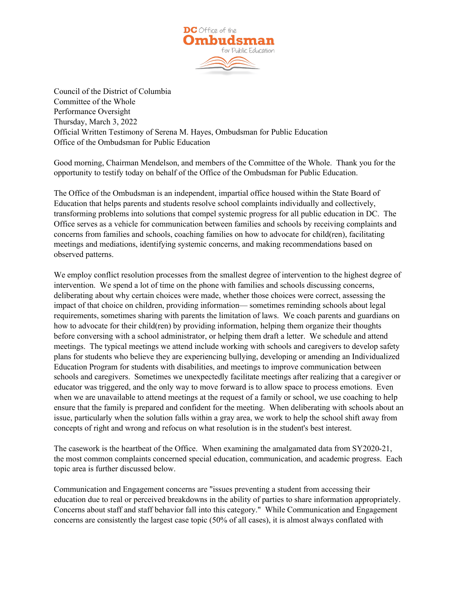

Council of the District of Columbia Committee of the Whole Performance Oversight Thursday, March 3, 2022 Official Written Testimony of Serena M. Hayes, Ombudsman for Public Education Office of the Ombudsman for Public Education

Good morning, Chairman Mendelson, and members of the Committee of the Whole. Thank you for the opportunity to testify today on behalf of the Office of the Ombudsman for Public Education.

The Office of the Ombudsman is an independent, impartial office housed within the State Board of Education that helps parents and students resolve school complaints individually and collectively, transforming problems into solutions that compel systemic progress for all public education in DC. The Office serves as a vehicle for communication between families and schools by receiving complaints and concerns from families and schools, coaching families on how to advocate for child(ren), facilitating meetings and mediations, identifying systemic concerns, and making recommendations based on observed patterns.

We employ conflict resolution processes from the smallest degree of intervention to the highest degree of intervention. We spend a lot of time on the phone with families and schools discussing concerns, deliberating about why certain choices were made, whether those choices were correct, assessing the impact of that choice on children, providing information— sometimes reminding schools about legal requirements, sometimes sharing with parents the limitation of laws. We coach parents and guardians on how to advocate for their child(ren) by providing information, helping them organize their thoughts before conversing with a school administrator, or helping them draft a letter. We schedule and attend meetings. The typical meetings we attend include working with schools and caregivers to develop safety plans for students who believe they are experiencing bullying, developing or amending an Individualized Education Program for students with disabilities, and meetings to improve communication between schools and caregivers. Sometimes we unexpectedly facilitate meetings after realizing that a caregiver or educator was triggered, and the only way to move forward is to allow space to process emotions. Even when we are unavailable to attend meetings at the request of a family or school, we use coaching to help ensure that the family is prepared and confident for the meeting. When deliberating with schools about an issue, particularly when the solution falls within a gray area, we work to help the school shift away from concepts of right and wrong and refocus on what resolution is in the student's best interest.

The casework is the heartbeat of the Office. When examining the amalgamated data from SY2020-21, the most common complaints concerned special education, communication, and academic progress. Each topic area is further discussed below.

Communication and Engagement concerns are "issues preventing a student from accessing their education due to real or perceived breakdowns in the ability of parties to share information appropriately. Concerns about staff and staff behavior fall into this category." While Communication and Engagement concerns are consistently the largest case topic (50% of all cases), it is almost always conflated with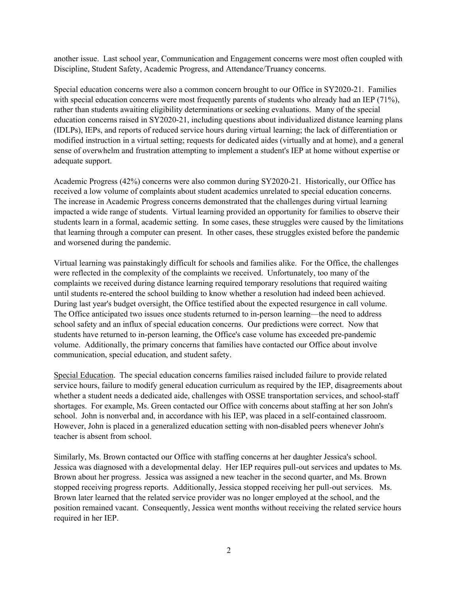another issue. Last school year, Communication and Engagement concerns were most often coupled with Discipline, Student Safety, Academic Progress, and Attendance/Truancy concerns.

Special education concerns were also a common concern brought to our Office in SY2020-21. Families with special education concerns were most frequently parents of students who already had an IEP (71%), rather than students awaiting eligibility determinations or seeking evaluations. Many of the special education concerns raised in SY2020-21, including questions about individualized distance learning plans (IDLPs), IEPs, and reports of reduced service hours during virtual learning; the lack of differentiation or modified instruction in a virtual setting; requests for dedicated aides (virtually and at home), and a general sense of overwhelm and frustration attempting to implement a student's IEP at home without expertise or adequate support.

Academic Progress (42%) concerns were also common during SY2020-21. Historically, our Office has received a low volume of complaints about student academics unrelated to special education concerns. The increase in Academic Progress concerns demonstrated that the challenges during virtual learning impacted a wide range of students. Virtual learning provided an opportunity for families to observe their students learn in a formal, academic setting. In some cases, these struggles were caused by the limitations that learning through a computer can present. In other cases, these struggles existed before the pandemic and worsened during the pandemic.

Virtual learning was painstakingly difficult for schools and families alike. For the Office, the challenges were reflected in the complexity of the complaints we received. Unfortunately, too many of the complaints we received during distance learning required temporary resolutions that required waiting until students re-entered the school building to know whether a resolution had indeed been achieved. During last year's budget oversight, the Office testified about the expected resurgence in call volume. The Office anticipated two issues once students returned to in-person learning—the need to address school safety and an influx of special education concerns. Our predictions were correct. Now that students have returned to in-person learning, the Office's case volume has exceeded pre-pandemic volume. Additionally, the primary concerns that families have contacted our Office about involve communication, special education, and student safety.

Special Education. The special education concerns families raised included failure to provide related service hours, failure to modify general education curriculum as required by the IEP, disagreements about whether a student needs a dedicated aide, challenges with OSSE transportation services, and school-staff shortages. For example, Ms. Green contacted our Office with concerns about staffing at her son John's school. John is nonverbal and, in accordance with his IEP, was placed in a self-contained classroom. However, John is placed in a generalized education setting with non-disabled peers whenever John's teacher is absent from school.

Similarly, Ms. Brown contacted our Office with staffing concerns at her daughter Jessica's school. Jessica was diagnosed with a developmental delay. Her IEP requires pull-out services and updates to Ms. Brown about her progress. Jessica was assigned a new teacher in the second quarter, and Ms. Brown stopped receiving progress reports. Additionally, Jessica stopped receiving her pull-out services. Ms. Brown later learned that the related service provider was no longer employed at the school, and the position remained vacant. Consequently, Jessica went months without receiving the related service hours required in her IEP.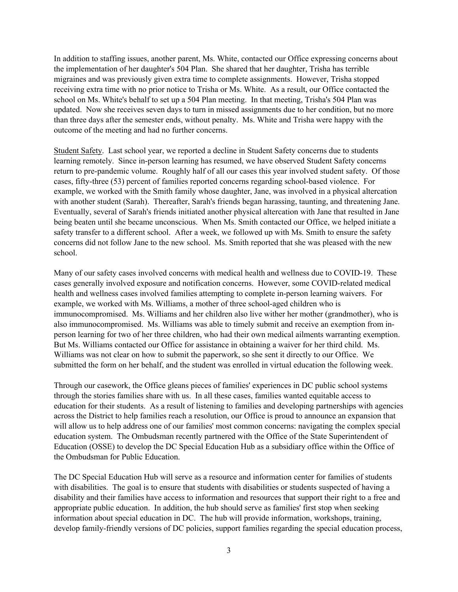In addition to staffing issues, another parent, Ms. White, contacted our Office expressing concerns about the implementation of her daughter's 504 Plan. She shared that her daughter, Trisha has terrible migraines and was previously given extra time to complete assignments. However, Trisha stopped receiving extra time with no prior notice to Trisha or Ms. White. As a result, our Office contacted the school on Ms. White's behalf to set up a 504 Plan meeting. In that meeting, Trisha's 504 Plan was updated. Now she receives seven days to turn in missed assignments due to her condition, but no more than three days after the semester ends, without penalty. Ms. White and Trisha were happy with the outcome of the meeting and had no further concerns.

Student Safety. Last school year, we reported a decline in Student Safety concerns due to students learning remotely. Since in-person learning has resumed, we have observed Student Safety concerns return to pre-pandemic volume. Roughly half of all our cases this year involved student safety. Of those cases, fifty-three (53) percent of families reported concerns regarding school-based violence. For example, we worked with the Smith family whose daughter, Jane, was involved in a physical altercation with another student (Sarah). Thereafter, Sarah's friends began harassing, taunting, and threatening Jane. Eventually, several of Sarah's friends initiated another physical altercation with Jane that resulted in Jane being beaten until she became unconscious. When Ms. Smith contacted our Office, we helped initiate a safety transfer to a different school. After a week, we followed up with Ms. Smith to ensure the safety concerns did not follow Jane to the new school. Ms. Smith reported that she was pleased with the new school.

Many of our safety cases involved concerns with medical health and wellness due to COVID-19. These cases generally involved exposure and notification concerns. However, some COVID-related medical health and wellness cases involved families attempting to complete in-person learning waivers. For example, we worked with Ms. Williams, a mother of three school-aged children who is immunocompromised. Ms. Williams and her children also live wither her mother (grandmother), who is also immunocompromised. Ms. Williams was able to timely submit and receive an exemption from inperson learning for two of her three children, who had their own medical ailments warranting exemption. But Ms. Williams contacted our Office for assistance in obtaining a waiver for her third child. Ms. Williams was not clear on how to submit the paperwork, so she sent it directly to our Office. We submitted the form on her behalf, and the student was enrolled in virtual education the following week.

Through our casework, the Office gleans pieces of families' experiences in DC public school systems through the stories families share with us. In all these cases, families wanted equitable access to education for their students. As a result of listening to families and developing partnerships with agencies across the District to help families reach a resolution, our Office is proud to announce an expansion that will allow us to help address one of our families' most common concerns: navigating the complex special education system. The Ombudsman recently partnered with the Office of the State Superintendent of Education (OSSE) to develop the DC Special Education Hub as a subsidiary office within the Office of the Ombudsman for Public Education.

The DC Special Education Hub will serve as a resource and information center for families of students with disabilities. The goal is to ensure that students with disabilities or students suspected of having a disability and their families have access to information and resources that support their right to a free and appropriate public education. In addition, the hub should serve as families' first stop when seeking information about special education in DC. The hub will provide information, workshops, training, develop family-friendly versions of DC policies, support families regarding the special education process,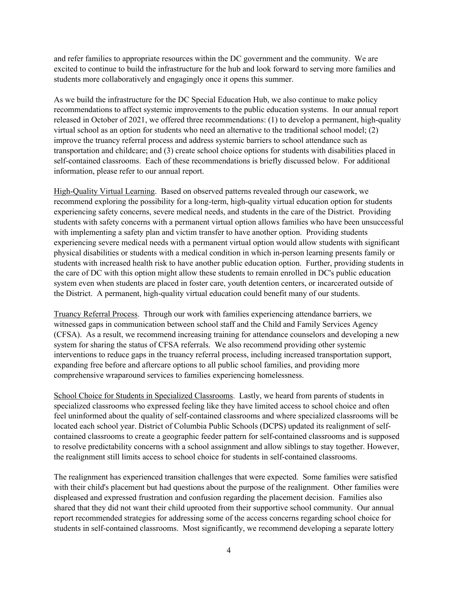and refer families to appropriate resources within the DC government and the community. We are excited to continue to build the infrastructure for the hub and look forward to serving more families and students more collaboratively and engagingly once it opens this summer.

As we build the infrastructure for the DC Special Education Hub, we also continue to make policy recommendations to affect systemic improvements to the public education systems. In our annual report released in October of 2021, we offered three recommendations: (1) to develop a permanent, high-quality virtual school as an option for students who need an alternative to the traditional school model; (2) improve the truancy referral process and address systemic barriers to school attendance such as transportation and childcare; and (3) create school choice options for students with disabilities placed in self-contained classrooms. Each of these recommendations is briefly discussed below. For additional information, please refer to our annual report.

High-Quality Virtual Learning. Based on observed patterns revealed through our casework, we recommend exploring the possibility for a long-term, high-quality virtual education option for students experiencing safety concerns, severe medical needs, and students in the care of the District. Providing students with safety concerns with a permanent virtual option allows families who have been unsuccessful with implementing a safety plan and victim transfer to have another option. Providing students experiencing severe medical needs with a permanent virtual option would allow students with significant physical disabilities or students with a medical condition in which in-person learning presents family or students with increased health risk to have another public education option. Further, providing students in the care of DC with this option might allow these students to remain enrolled in DC's public education system even when students are placed in foster care, youth detention centers, or incarcerated outside of the District. A permanent, high-quality virtual education could benefit many of our students.

Truancy Referral Process. Through our work with families experiencing attendance barriers, we witnessed gaps in communication between school staff and the Child and Family Services Agency (CFSA). As a result, we recommend increasing training for attendance counselors and developing a new system for sharing the status of CFSA referrals. We also recommend providing other systemic interventions to reduce gaps in the truancy referral process, including increased transportation support, expanding free before and aftercare options to all public school families, and providing more comprehensive wraparound services to families experiencing homelessness.

School Choice for Students in Specialized Classrooms. Lastly, we heard from parents of students in specialized classrooms who expressed feeling like they have limited access to school choice and often feel uninformed about the quality of self-contained classrooms and where specialized classrooms will be located each school year. District of Columbia Public Schools (DCPS) updated its realignment of selfcontained classrooms to create a geographic feeder pattern for self-contained classrooms and is supposed to resolve predictability concerns with a school assignment and allow siblings to stay together. However, the realignment still limits access to school choice for students in self-contained classrooms.

The realignment has experienced transition challenges that were expected. Some families were satisfied with their child's placement but had questions about the purpose of the realignment. Other families were displeased and expressed frustration and confusion regarding the placement decision. Families also shared that they did not want their child uprooted from their supportive school community. Our annual report recommended strategies for addressing some of the access concerns regarding school choice for students in self-contained classrooms. Most significantly, we recommend developing a separate lottery